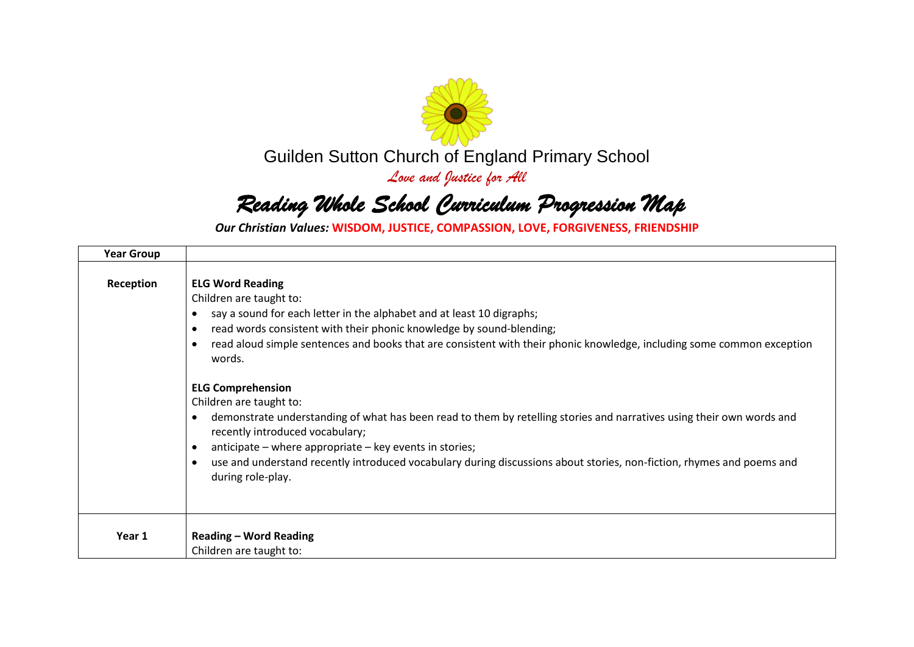

Guilden Sutton Church of England Primary School

*Love and Justice for All*

## *Reading Whole School Curriculum Progression Map*

*Our Christian Values:* **WISDOM, JUSTICE, COMPASSION, LOVE, FORGIVENESS, FRIENDSHIP**

| <b>Year Group</b> |                                                                                                                                                                                                                                                                                                                                                                                                                                                                 |
|-------------------|-----------------------------------------------------------------------------------------------------------------------------------------------------------------------------------------------------------------------------------------------------------------------------------------------------------------------------------------------------------------------------------------------------------------------------------------------------------------|
| Reception         | <b>ELG Word Reading</b><br>Children are taught to:<br>say a sound for each letter in the alphabet and at least 10 digraphs;<br>$\bullet$<br>read words consistent with their phonic knowledge by sound-blending;<br>$\bullet$<br>read aloud simple sentences and books that are consistent with their phonic knowledge, including some common exception<br>words.                                                                                               |
|                   | <b>ELG Comprehension</b><br>Children are taught to:<br>demonstrate understanding of what has been read to them by retelling stories and narratives using their own words and<br>$\bullet$<br>recently introduced vocabulary;<br>anticipate – where appropriate – key events in stories;<br>$\bullet$<br>use and understand recently introduced vocabulary during discussions about stories, non-fiction, rhymes and poems and<br>$\bullet$<br>during role-play. |
| Year 1            | <b>Reading - Word Reading</b><br>Children are taught to:                                                                                                                                                                                                                                                                                                                                                                                                        |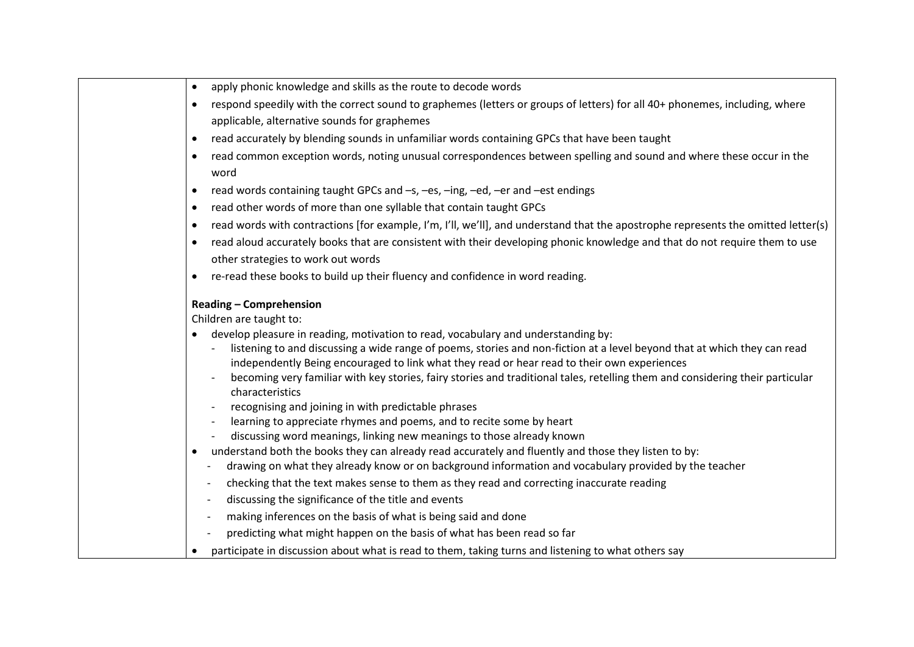| respond speedily with the correct sound to graphemes (letters or groups of letters) for all 40+ phonemes, including, where                                                                                                 |
|----------------------------------------------------------------------------------------------------------------------------------------------------------------------------------------------------------------------------|
| applicable, alternative sounds for graphemes                                                                                                                                                                               |
| read accurately by blending sounds in unfamiliar words containing GPCs that have been taught<br>$\bullet$                                                                                                                  |
| read common exception words, noting unusual correspondences between spelling and sound and where these occur in the<br>$\bullet$<br>word                                                                                   |
| read words containing taught GPCs and -s, -es, -ing, -ed, -er and -est endings<br>$\bullet$                                                                                                                                |
| read other words of more than one syllable that contain taught GPCs<br>$\bullet$                                                                                                                                           |
| read words with contractions [for example, I'm, I'll, we'll], and understand that the apostrophe represents the omitted letter(s)<br>$\bullet$                                                                             |
| read aloud accurately books that are consistent with their developing phonic knowledge and that do not require them to use<br>$\bullet$                                                                                    |
| other strategies to work out words                                                                                                                                                                                         |
| re-read these books to build up their fluency and confidence in word reading.<br>$\bullet$                                                                                                                                 |
| <b>Reading - Comprehension</b><br>Children are taught to:                                                                                                                                                                  |
| develop pleasure in reading, motivation to read, vocabulary and understanding by:                                                                                                                                          |
| listening to and discussing a wide range of poems, stories and non-fiction at a level beyond that at which they can read<br>independently Being encouraged to link what they read or hear read to their own experiences    |
| becoming very familiar with key stories, fairy stories and traditional tales, retelling them and considering their particular<br>characteristics                                                                           |
| recognising and joining in with predictable phrases<br>$\overline{a}$                                                                                                                                                      |
| learning to appreciate rhymes and poems, and to recite some by heart                                                                                                                                                       |
| discussing word meanings, linking new meanings to those already known                                                                                                                                                      |
| understand both the books they can already read accurately and fluently and those they listen to by:<br>$\bullet$<br>drawing on what they already know or on background information and vocabulary provided by the teacher |
| checking that the text makes sense to them as they read and correcting inaccurate reading<br>$\overline{\phantom{a}}$                                                                                                      |
| discussing the significance of the title and events<br>$\overline{\phantom{a}}$                                                                                                                                            |
| making inferences on the basis of what is being said and done                                                                                                                                                              |
| predicting what might happen on the basis of what has been read so far                                                                                                                                                     |
| participate in discussion about what is read to them, taking turns and listening to what others say<br>$\bullet$                                                                                                           |
|                                                                                                                                                                                                                            |

**•** apply phonic knowledge and skills as the route to decode words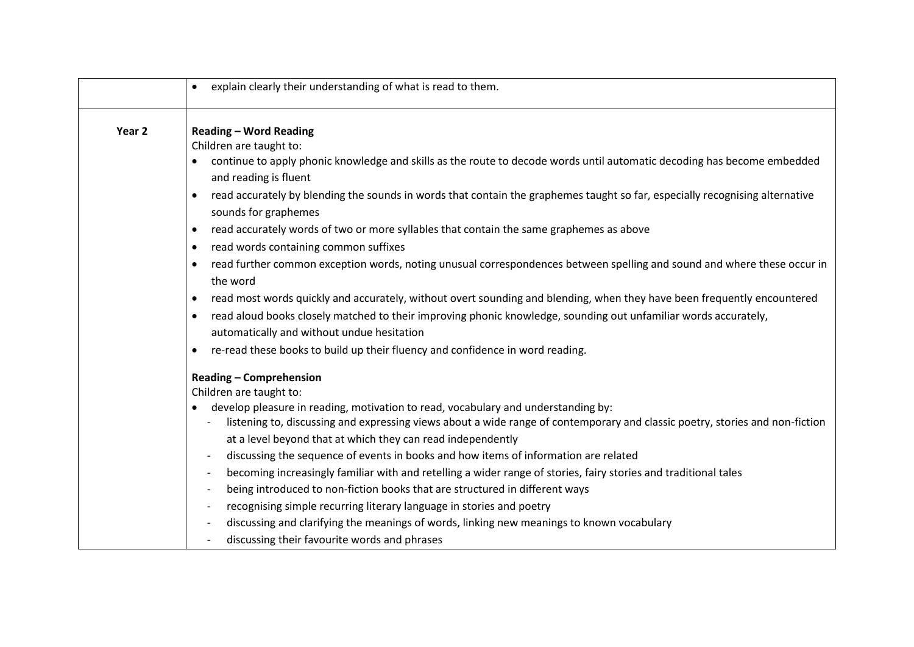|                   | explain clearly their understanding of what is read to them.<br>$\bullet$                                                                                                                                                                                                                                                                                                                                                                                                                                                                                                                                                                                                                                                                                                                                                                                                               |
|-------------------|-----------------------------------------------------------------------------------------------------------------------------------------------------------------------------------------------------------------------------------------------------------------------------------------------------------------------------------------------------------------------------------------------------------------------------------------------------------------------------------------------------------------------------------------------------------------------------------------------------------------------------------------------------------------------------------------------------------------------------------------------------------------------------------------------------------------------------------------------------------------------------------------|
| Year <sub>2</sub> | <b>Reading - Word Reading</b><br>Children are taught to:<br>continue to apply phonic knowledge and skills as the route to decode words until automatic decoding has become embedded<br>and reading is fluent<br>read accurately by blending the sounds in words that contain the graphemes taught so far, especially recognising alternative<br>$\bullet$<br>sounds for graphemes<br>read accurately words of two or more syllables that contain the same graphemes as above<br>$\bullet$                                                                                                                                                                                                                                                                                                                                                                                               |
|                   | read words containing common suffixes<br>$\bullet$<br>read further common exception words, noting unusual correspondences between spelling and sound and where these occur in<br>$\bullet$<br>the word<br>read most words quickly and accurately, without overt sounding and blending, when they have been frequently encountered<br>٠<br>read aloud books closely matched to their improving phonic knowledge, sounding out unfamiliar words accurately,<br>$\bullet$<br>automatically and without undue hesitation<br>re-read these books to build up their fluency and confidence in word reading.<br>$\bullet$                                                                                                                                                                                                                                                                      |
|                   | <b>Reading - Comprehension</b><br>Children are taught to:<br>develop pleasure in reading, motivation to read, vocabulary and understanding by:<br>listening to, discussing and expressing views about a wide range of contemporary and classic poetry, stories and non-fiction<br>at a level beyond that at which they can read independently<br>discussing the sequence of events in books and how items of information are related<br>$\overline{\phantom{a}}$<br>becoming increasingly familiar with and retelling a wider range of stories, fairy stories and traditional tales<br>being introduced to non-fiction books that are structured in different ways<br>recognising simple recurring literary language in stories and poetry<br>discussing and clarifying the meanings of words, linking new meanings to known vocabulary<br>discussing their favourite words and phrases |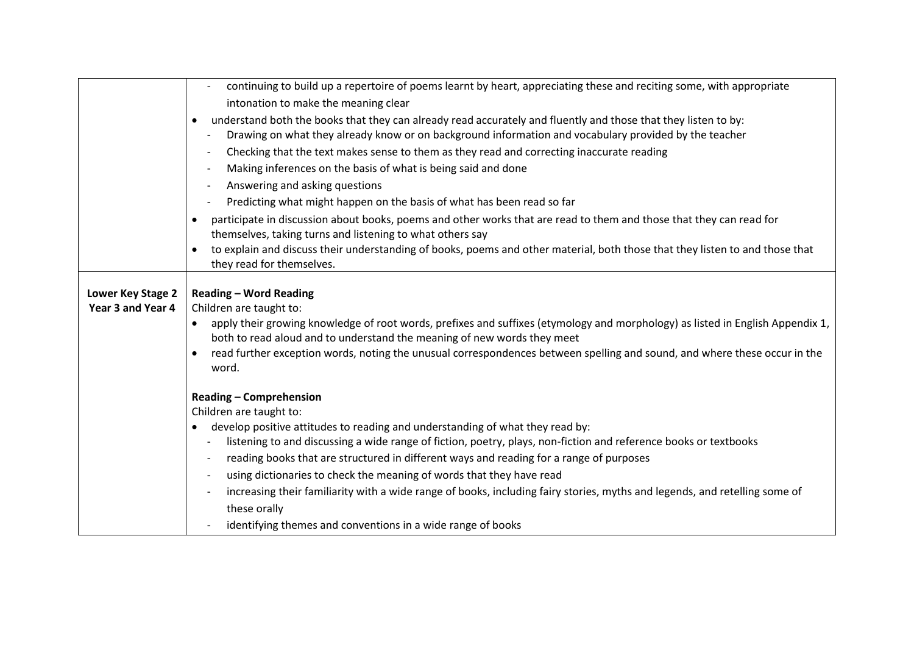|                   | continuing to build up a repertoire of poems learnt by heart, appreciating these and reciting some, with appropriate                             |
|-------------------|--------------------------------------------------------------------------------------------------------------------------------------------------|
|                   | intonation to make the meaning clear                                                                                                             |
|                   |                                                                                                                                                  |
|                   | understand both the books that they can already read accurately and fluently and those that they listen to by:                                   |
|                   | Drawing on what they already know or on background information and vocabulary provided by the teacher                                            |
|                   | Checking that the text makes sense to them as they read and correcting inaccurate reading<br>$\overline{\phantom{a}}$                            |
|                   | Making inferences on the basis of what is being said and done<br>$\overline{\phantom{a}}$                                                        |
|                   | Answering and asking questions                                                                                                                   |
|                   | Predicting what might happen on the basis of what has been read so far<br>$\overline{\phantom{a}}$                                               |
|                   | participate in discussion about books, poems and other works that are read to them and those that they can read for                              |
|                   | themselves, taking turns and listening to what others say                                                                                        |
|                   | to explain and discuss their understanding of books, poems and other material, both those that they listen to and those that                     |
|                   | they read for themselves.                                                                                                                        |
|                   |                                                                                                                                                  |
| Lower Key Stage 2 | <b>Reading - Word Reading</b>                                                                                                                    |
| Year 3 and Year 4 | Children are taught to:                                                                                                                          |
|                   | apply their growing knowledge of root words, prefixes and suffixes (etymology and morphology) as listed in English Appendix 1,                   |
|                   | both to read aloud and to understand the meaning of new words they meet                                                                          |
|                   | read further exception words, noting the unusual correspondences between spelling and sound, and where these occur in the                        |
|                   | word.                                                                                                                                            |
|                   |                                                                                                                                                  |
|                   | <b>Reading - Comprehension</b>                                                                                                                   |
|                   | Children are taught to:                                                                                                                          |
|                   | develop positive attitudes to reading and understanding of what they read by:                                                                    |
|                   | listening to and discussing a wide range of fiction, poetry, plays, non-fiction and reference books or textbooks<br>$\qquad \qquad \blacksquare$ |
|                   | reading books that are structured in different ways and reading for a range of purposes<br>$\overline{\phantom{a}}$                              |
|                   | using dictionaries to check the meaning of words that they have read<br>$\overline{\phantom{a}}$                                                 |
|                   | increasing their familiarity with a wide range of books, including fairy stories, myths and legends, and retelling some of                       |
|                   | these orally                                                                                                                                     |
|                   | identifying themes and conventions in a wide range of books<br>$\overline{\phantom{0}}$                                                          |
|                   |                                                                                                                                                  |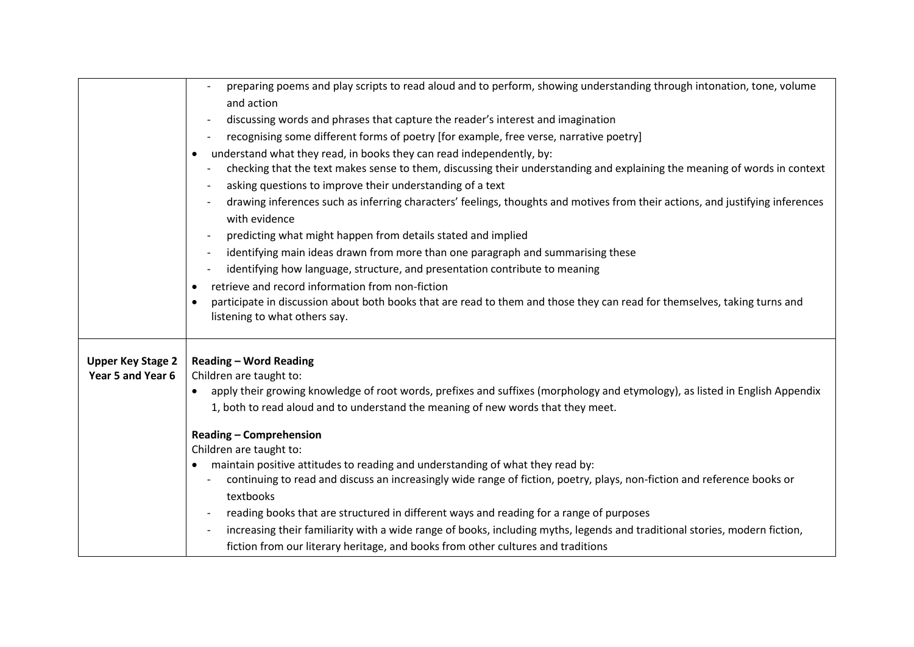|                                               | preparing poems and play scripts to read aloud and to perform, showing understanding through intonation, tone, volume<br>and action<br>discussing words and phrases that capture the reader's interest and imagination<br>$\overline{\phantom{a}}$<br>recognising some different forms of poetry [for example, free verse, narrative poetry]<br>understand what they read, in books they can read independently, by:<br>٠<br>checking that the text makes sense to them, discussing their understanding and explaining the meaning of words in context<br>asking questions to improve their understanding of a text<br>drawing inferences such as inferring characters' feelings, thoughts and motives from their actions, and justifying inferences<br>with evidence<br>predicting what might happen from details stated and implied<br>$\overline{\phantom{a}}$<br>identifying main ideas drawn from more than one paragraph and summarising these<br>$\overline{\phantom{a}}$<br>identifying how language, structure, and presentation contribute to meaning<br>retrieve and record information from non-fiction<br>participate in discussion about both books that are read to them and those they can read for themselves, taking turns and<br>listening to what others say. |
|-----------------------------------------------|-----------------------------------------------------------------------------------------------------------------------------------------------------------------------------------------------------------------------------------------------------------------------------------------------------------------------------------------------------------------------------------------------------------------------------------------------------------------------------------------------------------------------------------------------------------------------------------------------------------------------------------------------------------------------------------------------------------------------------------------------------------------------------------------------------------------------------------------------------------------------------------------------------------------------------------------------------------------------------------------------------------------------------------------------------------------------------------------------------------------------------------------------------------------------------------------------------------------------------------------------------------------------------------|
| <b>Upper Key Stage 2</b><br>Year 5 and Year 6 | <b>Reading - Word Reading</b><br>Children are taught to:<br>apply their growing knowledge of root words, prefixes and suffixes (morphology and etymology), as listed in English Appendix<br>1, both to read aloud and to understand the meaning of new words that they meet.<br><b>Reading - Comprehension</b><br>Children are taught to:<br>maintain positive attitudes to reading and understanding of what they read by:<br>٠<br>continuing to read and discuss an increasingly wide range of fiction, poetry, plays, non-fiction and reference books or<br>textbooks<br>reading books that are structured in different ways and reading for a range of purposes<br>$\overline{\phantom{a}}$<br>increasing their familiarity with a wide range of books, including myths, legends and traditional stories, modern fiction,<br>fiction from our literary heritage, and books from other cultures and traditions                                                                                                                                                                                                                                                                                                                                                                 |